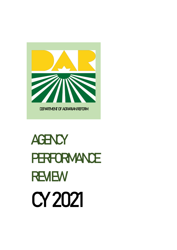# **AGENCY PERFORMANCE REVIEW CY 2021**

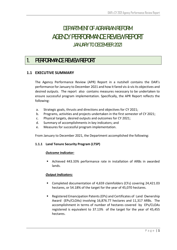# **DEPARTMENT OF AGRARIAN REFORM AGENCY PERFORMANCE REVIEW REPORT JANUARY TO DECEMBER 2021**

# **1. PERFORMANCE REVIEW REPORT**

# **1.1 EXECUTIVE SUMMARY**

The Agency Performance Review (APR) Report in a nutshell contains the DAR's performance for January to December 2021 and how it fared vis-à-vis its objectives and desired outputs. The report also contains measures necessary to be undertaken to ensure successful program implementation. Specifically, the APR Report reflects the following:

- a. Strategic goals, thrusts and directions and objectives for CY 2021;
- b. Programs, activities and projects undertaken in the first semester of CY 2021;
- c. Physical targets, desired outputs and outcomes for CY 2021;
- d. Summary of accomplishments in key indicators; and
- e. Measures for successful program implementation.

From January to December 2021, the Department accomplished the following:

# **1.1.1 Land Tenure Security Program (LTSP)**

### *Outcome Indicator:*

■ Achieved 443.33% performance rate in installation of ARBs in awarded lands.

### *Output Indicators:*

- Completed documentation of 4,659 claimfolders (CFs) covering 24,421.03 hectares, or 54.18% of the target for the year of 45,070 hectares.
- Registered Emancipation Patents (EPs) and Certificates of Land Ownership Award (EPs/CLOAs) involving 16,876.77 hectares and 11,317 ARBs. The accomplishment in terms of number of hectares covered by EPs/CLOAs registered is equivalent to 37.13% of the target for the year of 45,455 hectares.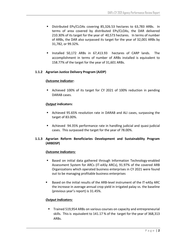- Distributed EPs/CLOAs covering 85,326.53 hectares to 63,783 ARBs. In terms of area covered by distributed EPs/CLOAs, the DAR delivered 210.30% of its target for the year of 40,573 hectares. In terms of number of ARBs, the DAR also surpassed its target for the year of 32,001 ARBs by 31,782, or 99.32%.
- Installed 50,172 ARBs in 67,413.93 hectares of CARP lands. The accomplishment in terms of number of ARBs installed is equivalent to 158.77% of the target for the year of 31,601 ARBs.

### **1.1.2 Agrarian Justice Delivery Program (AJDP)**

### *Outcome Indicator***:**

■ Achieved 100% of its target for CY 2021 of 100% reduction in pending DARAB cases.

### *Output* **indicators:**

- Achieved 95.65% resolution rate in DARAB and ALI cases, surpassing the target of 83.00%.
- Achieved 94.35% performance rate in handling judicial and quasi-judicial cases. This surpassed the target for the year of 78.00%.

### **1.1.3 Agrarian Reform Beneficiaries Development and Sustainability Program (ARBDSP)**

### *Outcome Indicators:*

- Based on initial data gathered through Information Technology-enabled Assessment System for ARCs (IT-eASy ARCs), 91.97% of the covered ARB Organizations which operated business enterprises in CY 2021 were found out to be managing profitable business enterprises
- Based on the initial results of the ARB-level instrument of the IT-eASy ARC the increase in average annual crop yield in irrigated palay vs. the baseline (previous year's report) is 31.45%.

### *Output Indicators:*

■ Trained 519,954 ARBs on various courses on capacity and entrepreneurial skills. This is equivalent to 141.17 % of the target for the year of 368,313 ARBs.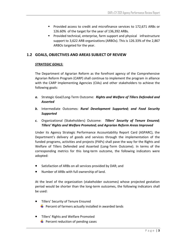- Provided access to credit and microfinance services to 172,671 ARBs or 126.60% of the target for the year of 136,392 ARBs.
- Provided technical, enterprise, farm support and physical infrastructure support to 3,622 ARB organizations (ARBOs). This is 126.33% of the 2,867 ARBOs targeted for the year.

# **1.2 GOALS, OBJECTIVES AND AREAS SUBJECT OF REVIEW**

# *STRATEGIC GOALS:*

The Department of Agrarian Reform as the forefront agency of the Comprehensive Agrarian Reform Program (CARP) shall continue to implement the program in alliance with the CARP Implementing Agencies (CIAs) and other stakeholders to achieve the following goals:

- *a.* Strategic Goal/Long-Term Outcome: *Rights and Welfare of Tillers Defended and Asserted*
- *b.* Intermediate Outcomes: *Rural Development Supported; and Food Security Supported*
- *c.* Organizational (Stakeholders) Outcome: *Tillers' Security of Tenure Ensured; Tillers' Rights and Welfare Promoted; and Agrarian Reform Areas Improved*

Under its Agency Strategic Performance Accountability Report Card (ASPARC), the Department's delivery of goods and services through the implementation of the funded programs, activities and projects (PAPs) shall pave the way for the Rights and Welfare of Tillers Defended and Asserted (Long-Term Outcome). In terms of the corresponding metrics for this long-term outcome, the following indicators were adopted:

- Satisfaction of ARBs on all services provided by DAR; and
- Number of ARBs with full ownership of land.

At the level of the organization (stakeholder outcomes) whose projected gestation period would be shorter than the long-term outcomes, the following indicators shall be used:

- Tillers' Security of Tenure Ensured  $\leftarrow$  Percent of farmers actually installed in awarded lands
- Tillers' Rights and Welfare Promoted
	- $\div$  Percent reduction of pending cases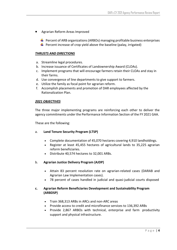- Agrarian Reform Areas Improved
	- $\downarrow$  Percent of ARB organizations (ARBOs) managing profitable business enterprises
	- $\downarrow$  Percent increase of crop yield above the baseline (palay, irrigated)

### *THRUSTS AND DIRECTIONS*

- a. Streamline legal procedures.
- b. Increase issuance of Certificates of Landownership Award (CLOAs).
- c. Implement programs that will encourage farmers retain their CLOAs and stay in their farms.
- d. Use convergence of line departments to give support to farmers.
- e. Utilize the family as focal point for agrarian reform.
- f. Accomplish placements and promotion of DAR employees affected by the Rationalization Plan.

### *2021 OBJECTIVES*

The three major implementing programs are reinforcing each other to deliver the agency commitments under the Performance Information Section of the FY 2021 GAA.

These are the following:

### a. **Land Tenure Security Program (LTSP)**

- Complete documentation of 45,070 hectares covering 4,910 landholdings.
- Register at least 45,455 hectares of agricultural lands to 35,225 agrarian reform beneficiaries.
- Distribute 40,574 hectares to 32,001 ARBs.

### b. **Agrarian Justice Delivery Program (AJDP)**

- Attain 83 percent resolution rate on agrarian-related cases (DARAB and Agrarian Law Implementation cases).
- 78 percent of cases handled in judicial and quasi-judicial courts disposed

### **c. Agrarian Reform Beneficiaries Development and Sustainability Program (ARBDSP)**

- Train 368,313 ARBs in ARCs and non-ARC areas
- Provide access to credit and microfinance services to 136,392 ARBs
- Provide 2,867 ARBOs with technical, enterprise and farm productivity support and physical infrastructure.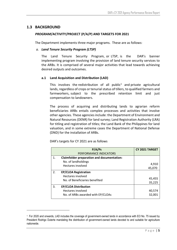# **1.3 BACKGROUND**

### *PROGRAM***/ACTIVITY/PROJECT (P/A/P) AND TARGETS FOR 2021**

The Department implements three major programs. These are as follows:

### *a. Land Tenure Security Program (LTSP)*

The Land Tenure Security Program, or LTSP, is the DAR's banner implementing program involving the provision of land tenure security services to the ARBs. It is comprised of several major activities that lead towards achieving desired outputs and outcomes.

### **a.1 Land Acquisition and Distribution (LAD)**

This involves the redistribution of all public<sup>1</sup> and private agricultural lands, regardless of crops or tenurial status of tillers, to qualified farmers and farmworkers, subject to the prescribed retention limit and just compensation to landowners.

The process of acquiring and distributing lands to agrarian reform beneficiaries ARBs entails complex processes and activities that involve other agencies. These agencies include: the Department of Environment and Natural Resources (DENR) for land survey; Land Registration Authority (LRA) for titling and registration of titles; the Land Bank of the Philippines for land valuation, and in some extreme cases the Department of National Defense (DND) for the installation of ARBs.

| DAR's targets for CY 2021 are as follows |  |
|------------------------------------------|--|
|------------------------------------------|--|

|    | P/A/Ps                                                                                               | <b>CY 2021 TARGET</b> |
|----|------------------------------------------------------------------------------------------------------|-----------------------|
|    | PERFORMANCE INDICATORS                                                                               |                       |
| 1. | <b>Claimfolder preparation and documentation:</b><br>No. of landholdings<br><b>Hectares involved</b> | 4,910<br>45,070       |
| 2. | <b>EP/CLOA Registration</b><br>Hectares involved<br>No. of Beneficiaries benefited                   | 45,455<br>35,225      |
| 3. | <b>EP/CLOA Distribution</b><br>Hectares involved<br>No. of ARBs awarded with EP/CLOAs                | 40,574<br>32,001      |

<sup>1</sup> For 2020 and onwards, LAD includes the coverage of government-owned lands in accordance with EO No. 75 issued by President Rodrigo Duterte mandating the distribution of government-owned lands devoted to and suitable for agriculture nationwide.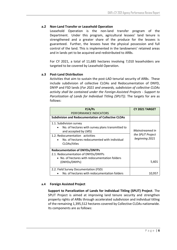# **a.2 Non-Land Transfer or Leasehold Operation**

Leasehold Operation is the non-land transfer program of the Department. Under this program, agricultural lessees' land tenure is strengthened and a greater share of the produce for the lessees is guaranteed. Further, the lessees have the physical possession and full control of the land. This is implemented in the landowners' retained areas and in lands yet to be acquired and redistributed to ARBs.

For CY 2021, a total of 11,685 hectares involving 7,010 leaseholders are targeted to be covered by Leasehold Operation.

### **a.3 Post-Land Distribution**

Activities that aim to sustain the post-LAD tenurial security of ARBs. These include subdivision of collective CLOAs and Redocumentation of DNYD, DNYP and FSD lands (*For 2021 and onwards, subdivision of collective CLOAs activity shall be contained under the Foreign-Assisted Projects - Support to Parcelization of Lands for Individual Titling (SPLIT))*. The targets for are as follows:

| P/A/Ps<br>PERFORMANCE INDICATORS                                                                                                                                                                                                 | <b>CY 2021 TARGET</b>                                  |
|----------------------------------------------------------------------------------------------------------------------------------------------------------------------------------------------------------------------------------|--------------------------------------------------------|
| <b>Subdivision and Redocumentation of Collective CLOAs</b>                                                                                                                                                                       |                                                        |
| 1.1. Subdivision survey<br>No. of hectares with survey plans transmitted to<br>$\bullet$<br>and accepted by LMS)<br>1.2. Redocumentation activities<br>No. of hectares redocumented with individual<br>$\bullet$<br>CLOAs/titles | Mainstreamed in<br>the SPLIT Project<br>beginning 2021 |
| <b>Redocumentation of DNYDs/DNYPs</b><br>2.1. Redocumentation of DNYDs/DNYPs<br>• No. of hectares with redocumentation folders<br>(DNYDs/DNYPs)                                                                                  | 5,601                                                  |
| 2.2. Field Survey Documentation (FSD)<br>No. of hectares with redocumentation folders                                                                                                                                            | 10.95                                                  |

### **a.4 Foreign Assisted Project**

**Support to Parcelization of Lands for Individual Titling (SPLIT) Project**. The SPLIT Project is aimed at improving land tenure security and strengthen property rights of ARBs through accelerated subdivision and individual titling of the remaining 1,395,512 hectares covered by Collective CLOAs nationwide. Its components are as follows: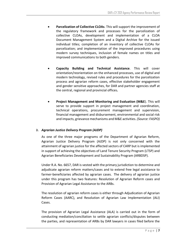- **Parcelization of Collective CLOAs**. This will support the improvement of the regulatory framework and processes for the parcelization of collective CLOAs, development and implementation of a CLOA Document Management System and a Digital Archive for the issued individual titles; completion of an inventory of collective CLOAs for parcelization; and implementation of the improved procedures using modern survey techniques, inclusion of female names on titles and improved communications to both genders.
- **Capacity Building and Technical Assistance**. This will cover orientation/reorientation on the enhanced processes, use of digital and modern technology, revised rules and procedures for the parcelization process and agrarian reform cases, effective stakeholder engagement and gender sensitive approaches, for DAR and partner agencies staff at the central, regional and provincial offices**.**
- **Project Management and Monitoring and Evaluation (M&E**). This will serve to provide support in project management and coordination, technical operations, procurement management and supervision, financial management and disbursement, environmental and social risk and impacts, grievance mechanisms and M&E activities. *(Source: FASPO)*

# *b. Agrarian Justice Delivery Program (AJDP)*

As one of the three major programs of the Department of Agrarian Reform, Agrarian Justice Delivery Program (AJDP) is not only concerned with the attainment of agrarian justice for the affected sectors of CARP but is implemented in support of achieving the objectives of Land Tenure Security Program (LTSP) and Agrarian Beneficiaries Development and Sustainability Program (ARBDSP).

Under R.A. No. 6657, DAR is vested with the primary jurisdiction to determine and adjudicate agrarian reform matters/cases and to extend free legal assistance to farmer-beneficiaries affected by agrarian cases. The delivery of agrarian justice under this program has two features: Resolution of Agrarian Reform cases and Provision of Agrarian Legal Assistance to the ARBs.

The resolution of agrarian reform cases is either through Adjudication of Agrarian Reform Cases (AARC), and Resolution of Agrarian Law Implementation (ALI) Cases.

The provision of Agrarian Legal Assistance (ALA) is carried out in the form of conducting mediation/conciliation to settle agrarian conflicts/disputes between the parties, and representation of ARBs by DAR lawyers in cases filed before the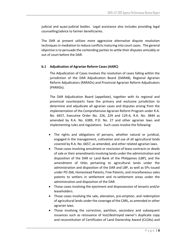judicial and quasi-judicial bodies. Legal assistance also includes providing legal counselling/advice to farmer beneficiaries.

The DAR at present utilizes more aggressive alternative dispute resolution techniques in mediation to reduce conflicts maturing into court cases. The general objective is to persuade the contending parties to settle their disputes amicably or out of court before the DAR.

# **b.1 Adjudication of Agrarian Reform Cases (AARC)**

The Adjudication of Cases involves the resolution of cases falling within the jurisdiction of the DAR Adjudication Board (DARAB), Regional Agrarian Reform Adjudicators (RARADs) and Provincial Agrarian Reform Adjudicators (PARADs).

The DAR Adjudication Board (appellate), together with its regional and provincial counterparts have the primary and exclusive jurisdiction to determine and adjudicate all agrarian cases and disputes arising from the implementation of the Comprehensive Agrarian Reform Program under R.A. No. 6657, Executive Order No. 226, 229 and 129-A, R.A. No. 3844 as amended by R.A. No. 6389, P.D. No. 27 and other agrarian laws and implementing rules and regulations. Such cases involve the following:

- The rights and obligations of persons, whether natural or juridical, engaged in the management, cultivation and use of all agricultural lands covered by R.A. No. 6657, as amended, and other related agrarian laws.
- Those cases involving annulment or rescission of lease contracts or deeds of sale or their amendments involving lands under the administration and disposition of the DAR or Land Bank of the Philippines (LBP), and the amendment of titles pertaining to agricultural lands under the administration and disposition of the DAR and LBP, as well as EPs issued under PD 266, Homestead Patents, Free Patents, and miscellaneous sales patents to settlers in settlement and re-settlement areas under the administration and disposition of the DAR.
- Those cases involving the ejectment and dispossession of tenants and/or leaseholders.
- Those cases involving the sale, alienation, pre-emption, and redemption of agricultural lands under the coverage of the CARL, as amended or other agrarian laws.
- Those involving the correction, partition, secondary and subsequent issuances such as reissuance of lost/destroyed owner's duplicate copy and reconstitution of Certificates of Land Ownership Award (CLOAs) and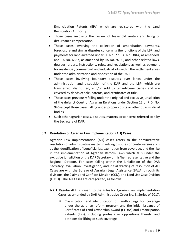Emancipation Patents (EPs) which are registered with the Land Registration Authority.

- Those cases involving the review of leasehold rentals and fixing of disturbance compensation.
- Those cases involving the collection of amortization payments, foreclosure and similar disputes concerning the functions of the LBP, and payments for land awarded under PD No. 27, RA. No. 3844, as amended, and RA No. 6657, as amended by RA No. 9700, and other related laws, decrees, orders, instructions, rules, and regulations as well as payment for residential, commercial, and industrial lots within the settlement areas under the administration and disposition of the DAR.
- Those cases involving boundary disputes over lands under the administration and disposition of the DAR and the LBP, which are transferred, distributed, and/or sold to tenant-beneficiaries and are covered by deeds of sale, patents, and certificates of title.
- Those cases previously falling under the original and exclusive jurisdiction of the defunct Court of Agrarian Relations under Section 12 of P.D. No. 946 except those cases falling under proper courts or other quasi-judicial bodies.
- Such other agrarian cases, disputes, matters, or concerns referred to it by the Secretary of DAR.

# **b.2 Resolution of Agrarian Law implementation (ALI) Cases**

Agrarian Law Implementation (ALI) cases refers to the administrative resolution of administrative matter involving disputes or controversies such as the identification of beneficiaries, exemption from coverage, and the like in the implementation of Agrarian Reform Laws which falls under the exclusive jurisdiction of the DAR Secretary or his/her representative and the Regional Director. For cases falling within the jurisdiction of the DAR Secretary, evaluation, investigation, and initial drafting of resolution of ALI Cases are with the Bureau of Agrarian Legal Assistance (BALA) through its divisions, the Claims and Conflicts Division (CCD), and Land Use Case Division (LUCD). The ALI Cases are categorized, as follows:

- **b.2.1. Regular ALI**. Pursuant to the Rules for Agrarian Law Implementation Cases, as amended by DAR Administrative Order No. 3, Series of 2017.
	- Classification and identification of landholdings for coverage under the agrarian reform program and the initial issuance of Certificates of Land Ownership Award (CLOAs) and Emancipation Patents (EPs), including protests or oppositions thereto and petitions for lifting of such coverage.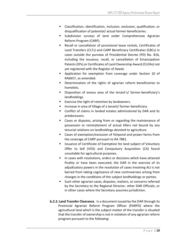- Classification, identification, inclusion, exclusion, qualification, or disqualification of potential/ actual farmer-beneficiaries.
- **E** Subdivision surveys of land under Comprehensive Agrarian Reform Program (CARP).
- Recall or cancellation of provisional lease rentals, Certificates of Land Transfers (CLTs) and CARP Beneficiary Certificates (CBCs) in cases outside the purview of Presidential Decree (PD) No. 816, including the issuance, recall, or cancellation of Emancipation Patents (EPs) or Certificates of Land Ownership Award (CLOAs) not yet registered with the Register of Deeds.
- Application for exemption from coverage under Section 10 of RA6657, as amended.
- Determination of the rights of agrarian reform beneficiaries to homelots.
- Disposition of excess area of the tenant's/ farmer-beneficiary's landholdings.
- Exercise the right of retention by landowners.
- Increase in area of tillage of a tenant/ farmer-beneficiary.
- Conflict of claims in landed estates administered by DAR and its predecessors.
- Cases or disputes, arising from or regarding the maintenance of possession or reinstatement of actual tillers not bound by any tenurial relations on landholdings devoted to agriculture.
- Cases of exemption/exclusion of fishpond and prawn farms from the coverage of CARP pursuant to RA 7881.
- Issuance of Certificate of Exemption for land subject of Voluntary Offer to Sell (VOS) and Compulsory Acquisition (CA) found unsuitable for agricultural purposes.
- In cases with resolutions, orders or decisions which have attained finality or have been executed, the DAR in the exercise of its adjudicatory powers in the resolution of cases involving ALI is not barred from taking cognizance of new controversies arising from changes in the conditions of the subject landholdings or parties.
- Such other agrarian cases, disputes, matters, or concerns referred by the Secretary to the Regional Director, other DAR Officials, or in other cases where the Secretary assumes jurisdiction.
- **b.2.2. Land Transfer Clearance**. Is a document issued by the DAR through its Provincial Agrarian Reform Program Officer (PARPO) where the agricultural land which is the subject matter of the transfer is situated that the transfer of ownership is not in violation of any agrarian reform program pursuant to the following: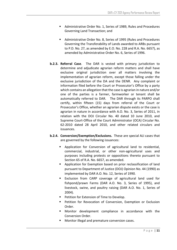- Administrative Order No. 1, Series of 1989, Rules and Procedures Governing Land Transaction; and
- Administrative Order No. 8, Series of 1995 (Rules and Procedures Governing the Transferability of Lands awarded to ARBs pursuant to P.D. No. 27, as amended by E.O. No. 228 and R.A. No. 6657), as amended by Administrative Order No. 6, Series of 1996.
- **b.2.3. Referral Case**. The DAR is vested with primary jurisdiction to determine and adjudicate agrarian reform matters and shall have exclusive original jurisdiction over all matters involving the implementation of agrarian reform, except those falling under the exclusive jurisdiction of the DA and the DENR. Any complaint or information filed before the Court or Prosecutor's Office by a party which contains an allegation that the case is agrarian in nature and/or one of the parties is a farmer, farmworker or tenant shall be automatically referred to DAR. The DAR through its PARPO shall certify, within fifteen (15) days from referral of the Court or Prosecutor's Office, whether an agrarian dispute exists or the case is agrarian in nature in accordance with A.O. No. 3, Series of 2011, in relation with the DOJ Circular No. 40 dated 10 June 2010, and Supreme Court-Office of the Court Administrator (OCA) Circular No. 62-2010 dated 28 April 2010, and other related circulars and issuances.
- **b.2.4. Conversion/Exemption/Exclusions.** These are special ALI cases that are governed by the following issuances:
	- Application for Conversion of agricultural land to residential, commercial, industrial, or other non-agricultural uses and purposes including protests or oppositions thereto pursuant to Section 65 of R.A. No. 6657, as amended.
	- Application for Exemption based on prior reclassification of land pursuant to Department of Justice (DOJ) Opinion No. 44 (1990) as implemented by DAR A.O. No. 12, Series of 1990.
	- Exclusion from CARP coverage of agricultural land used for fishpond/prawn Farms (DAR A.O. No. 3, Series of 1995), and livestock, swine, and poultry raising (DAR A.O. No. 1, Series of 2004).
	- Petition for Extension of Time to Develop.
	- Petition for Revocation of Conversion, Exemption or Exclusion Order.
	- Monitor development compliance in accordance with the Conversion Order.
	- Monitor illegal and premature conversion cases.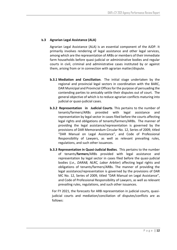# **b.3 Agrarian Legal Assistance (ALA)**

Agrarian Legal Assistance (ALA) is an essential component of the AJDP. It primarily involves rendering of legal assistance and other legal services, among which are the representation of ARBs or members of their immediate farm households before quasi-judicial or administrative bodies and regular courts in civil, criminal and administrative cases instituted by or against them, arising from or in connection with agrarian matter/dispute.

- **b.3.1 Mediation and Conciliation**. The initial stage undertaken by the regional and provincial legal sectors in coordination with the BARC, DAR Municipal and Provincial Offices for the purpose of persuading the contending parties to amicably settle their disputes out of court. The general objective of which is to reduce agrarian conflicts maturing into judicial or quasi-judicial cases.
- **b.3.2 Representation in Judicial Courts**. This pertains to the number of tenants/farmers/ARBs provided with legal assistance and representation by legal sector in cases filed before the courts affecting legal rights and obligations of tenants/farmers/ARBs. The manner of providing the legal assistance/representation is governed by the provisions of DAR Memorandum Circular No. 12, Series of 2009, titled "DAR Manual on Legal Assistance", and Code of Professional Responsibility of Lawyers, as well as relevant prevailing rules, regulations, and such other issuances.
- **b.3.3 Representation in Quasi-Judicial Bodies**. This pertains to the number of tenants/**farmers**/ARBs provided with legal assistance and representation by legal sector in cases filed before the quasi-judicial bodies (*i.e., DARAB, NLRC, Labor Arbiter*) affecting legal rights and obligations of tenants/farmers/ARBs. The manner of providing the legal assistance/representation is governed by the provisions of DAR MC No. 12, Series of 2009, titled "DAR Manual on Legal Assistance", and Code of Professional Responsibility of Lawyers, as well as relevant prevailing rules, regulations, and such other issuances.

For FY 2021, the forecasts for ARB representation in judicial courts, quasijudicial courts and mediation/conciliation of disputes/conflicts are as follows: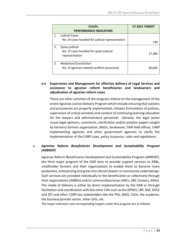|         | P/A/Ps<br><b>PERFORMANCE INDICATORS</b>                                     | <b>CY 2021 TARGET</b> |
|---------|-----------------------------------------------------------------------------|-----------------------|
| $1_{-}$ | Judicial Cases<br>No. of cases handled for judicial representation          | 749                   |
| 2.      | Quasi-judicial<br>No. of cases handled for quasi-judicial<br>representation | 17,385                |
| 3.      | Mediation/Conciliation<br>No. of agrarian-related conflicts processed       | 66,662                |

# **b.4 Supervision and Management for effective delivery of Legal Services and assistance to agrarian reform beneficiaries and landowners and adjudication of agrarian reform cases**

These are other activities of the program relative to the management of the entire Agrarian Justice Delivery Program which include ensuring that systems and procedures are properly implemented, initiates formulation of policies, supervision of critical activities and conduct of continuing learning education for the lawyers and administrative personnel. Likewise, the legal sector issues legal opinions, comments, clarification and/or position papers sought by farmers/ farmers organization, NGOs, landowner, DAR field offices, CARP implementing agencies and other government agencies to clarify the implementation of the CARP Laws, policy issuances, rules and regulations.

# *c. Agrarian Reform Beneficiaries Development and Sustainability Program (ARBDSP)*

Agrarian Reform Beneficiaries Development and Sustainability Program (ARBDSP), the third major program of the DAR aims to provide support services to ARBs, smallholder farmers and their organizations to enable them to become more productive, enterprising and grow into vibrant players in community undertakings. Such services are provided individually to the beneficiaries or collectively through their organizations (ARBOs) and/or communities/areas (ARCs, ARC clusters, ARAs). The mode of delivery is either by direct implementation by the DAR or through facilitation and coordination with the other CIAs such as the DPWH, LBP, NIA, DOLE and DTI and other CARP key stakeholders like the POs, NGO, CSOs, the academe, the business/private sector, other GFIs, etc.

The major indicators and corresponding targets under this program are as follows: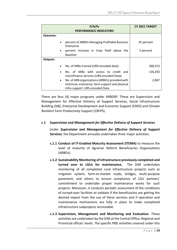|                 | P/A/Ps                                                                                                                                             | <b>CY 2021 TARGET</b> |
|-----------------|----------------------------------------------------------------------------------------------------------------------------------------------------|-----------------------|
|                 | <b>PERFORMANCE INDICATORS</b>                                                                                                                      |                       |
| Outcome:        |                                                                                                                                                    |                       |
|                 | percent of ARBOs Managing Profitable Business<br>٠<br>Enterprise                                                                                   | 35 percent            |
|                 | percent increase in Crop Yield above the<br>٠<br><b>Baseline</b>                                                                                   | 5 percent             |
| <b>Outputs:</b> |                                                                                                                                                    |                       |
|                 | No. of ARBs trained (URS-encoded data)<br>٠                                                                                                        | 368,313               |
|                 | No. of ARBs with access to credit and<br>$\bullet$<br>microfinance services (URS-encoded Data)                                                     | 136,392               |
|                 | No. of ARB organizations (ARBOs) provided with<br>$\bullet$<br>technical, enterprise, farm support and physical<br>infra support: URS-encoded Data | 2,867                 |

There are four (4) major programs under ARBDSP. These are Supervision and Management for Effective Delivery of Support Services, Social Infrastructure Building (SIB), Enterprise Development and Economic Support (EDES) and Climate Resilient Farm Productivity Support (CRFPS).

### **c.1 Supervision and** *Management for Effective Delivery of Support Services*

Under *Supervision and Management for Effective Delivery of Support Services*, the Department annually undertakes three major activities:

- **c.1.1 Conduct of IT-Enabled Maturity Assessment (ITEMA)** to measure the level of maturity of Agrarian Reform Beneficiaries Organizations (ARBOs).
- **c.1.2 Sustainability Monitoring of Infrastructure previously completed and turned over to LGUs for maintenance.** The DAR undertakes monitoring of all completed rural infrastructure projects such as irrigation system, farm-to-market roads, bridges, multi-purpose pavement, and others to ensure compliance of LGU partners' commitment to undertake proper maintenance works for such projects. Moreover, it conducts periodic assessment of the conditions of turned-over facilities to validate if the beneficiaries are getting the desired impact from the use of these services and if operation and maintenance mechanisms are fully in place to make completed infrastructure subprojects serviceable.
- **c.1.3 Supervision, Management and Monitoring and Evaluation.** These activities are undertaken by the DAR at the Central Office, Regional and Provincial offices' levels. The specific PBD activities covered under this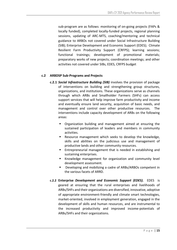sub-program are as follows: monitoring of on-going projects (FAPs & locally funded), completed locally-funded projects, regional planning sessions, updating of ARC-MTS, coaching/mentoring and technical guidance to ARBOs not covered under Social Infrastructure Building (SIB); Enterprise Development and Economic Support (EDES); Climate Resilient Farm Productivity Support (CRFPS); learning sessions; functional trainings; development of promotional materials; preparatory works of new projects; coordination meetings; and other activities not covered under SIBs, EDES, CRFPS budget

# **c.2 ARBDSP Sub-Programs and Projects**

- **c.2.1** *Social Infrastructure Building (SIB)* involves the provision of package of interventions on building and strengthening group structures, organizations, and institutions. These organizations serve as channels through which ARBs and Smallholder Farmers (SHFs) can access support services that will help improve farm productivity and income and eventually ensure land security, acquisition of basic needs, and management and control over other productive resources. The interventions include capacity development of ARBs on the following areas:
	- Organization building and management aimed at ensuring the sustained participation of leaders and members in community activities.
	- Resource management which seeks to develop the knowledge, skills and abilities on the judicious use and management of productive lands and other community resources.
	- Entrepreneurial management that is needed in establishing and sustaining enterprises.
	- Knowledge management for organization and community level development assessment.
	- Developing and mobilizing a cadre of ARBs/ARBOs competent in the various facets of ARRD.
- **c.2.2 Enterprise** *Development and Economic Support (EDES).* EDES is geared at ensuring that the rural enterprises and livelihoods of ARBs/SHFs and their organizations are diversified, innovative, adoptive of appropriate environment-friendly and climate smart technologies, market-oriented, involved in employment generation, engaged in the development of skills and human resources, and are instrumental to the increased productivity and improved income-potentials of ARBs/SHFs and their organizations.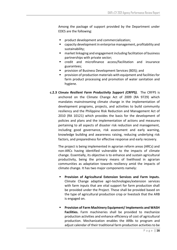Among the package of support provided by the Department under EDES are the following:

- product development and commercialization;
- capacity development in enterprise management, profitability and sustainability;
- market linkaging and engagement including facilitation of business partnerships with private sector;
- credit and microfinance access/facilitation and insurance guarantees;
- provision of Business Development Services (BDS); and
- provision of production materials with equipment and facilities for farm product processing and promotion of water sanitation and hygiene.
- **c.2.3 Climate** *Resilient Farm Productivity Support (CRFPS).* The CRFPS is anchored on the Climate Change Act of 2009 (RA 9729) which mandates mainstreaming climate change in the implementation of development programs, projects, and activities to build community resiliency and the Philippine Risk Reduction and Management Act of 2010 (RA 10121) which provides the basis for the development of policies and plans and the implementation of actions and measures pertaining to all aspects of disaster risk reduction and management, including good governance, risk assessment and early warning, knowledge building and awareness raising, reducing underlying risk factors, and preparedness for effective response and early recovery.

The project is being implemented in agrarian reform areas (ARCs) and non-ARCs having identified vulnerable to the impacts of climate change. Essentially, its objective is to enhance and sustain agricultural productivity, being the primary means of livelihood in agrarian communities as adaptation towards resiliency amid the impacts of climate change. It has two major components namely:

- **Provision of Agricultural Extension Services and Farm Inputs.** Climate Change adaptive agri-technologies/extension services with farm inputs that are vital support for farm production shall be provided under the Project. These shall be provided based on the type of agricultural production crop or livestock that the ARB is engaged on.
- **Provision of Farm Machinery Equipment/ Implements and WASH Facilities.** Farm machineries shall be provided to mechanize production activities and enhance efficiency of cost of agricultural production. Mechanization enables the ARBs to program and adjust calendar of their traditional farm production activities to be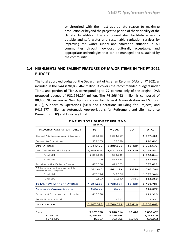synchronized with the most appropriate season to maximize production or beyond the projected period of the variability of the climate. In addition, this component shall facilitate access to potable and safe water and sustainable sanitation services by improving the water supply and sanitation situation in AR communities through low-cost, culturally acceptable, and appropriate technologies that can be managed and sustained by the community.

# **1.4 HIGHLIGHTS AND SALIENT FEATURES OF MAJOR ITEMS IN THE FY 2021 BUDGET**

The total approved budget of the Department of Agrarian Reform (DAR) for FY 2021 as included in the GAA is ₱8,866.462 million. It covers the recommended budgets under Tier 1 and portion of Tier 2, corresponding to 27 percent only of the original DAR proposed budget of ₱32,966.294 million. The ₱8,866.462 million is composed of ₱8,450.785 million as New Appropriations for General Administration and Support (GAS), Support to Operations (STO) and Operations including for Projects; and ₱415.677 million as Automatic Appropriations for Retirement and Life Insurance Premiums (RLIP) and Fiduciary Fund.

| PROGRAM/ACTIVITY/PROJECT                                 | <b>PS</b>           | <b>MOOE</b>          | <b>CO</b> | <b>TOTAL</b>         |
|----------------------------------------------------------|---------------------|----------------------|-----------|----------------------|
| General Administration and Support                       | 592.603             | 1,284.817            |           | 1,877.420            |
| Support to Operations                                    | 557.155             | 163.538              |           | 720.693              |
| <b>OPERATIONS</b>                                        | 3,544.450           | 2,289.802            | 18.420    | 5,852.672            |
| Land Tenure Security Program                             | 2,405.605           | 1,027.562            | 11.370    | 3,444.537            |
| <b>Fund 101</b>                                          | 2,395.605           | 533.239              |           | 2,928.844            |
| <b>Fund 102</b>                                          | 10.000              | 494.323              | 11.370    | 515.693              |
| Agrarian Justice Delivery Program                        | 476.360             | 421.069              |           | 897.429              |
| AR Beneficiaries Development &<br>Sustainability Program | 662.485             | 841.171              | 7.050     | 1,510.706            |
| Fund 101                                                 | 655.818             | 741.528              |           | 1,397.346            |
| <b>Fund 102</b>                                          | 6.667               | 99.643               | 7.050     | 113.360              |
| <b>TOTAL NEW APPROPRIATIONS</b>                          | 4,694.208           | 3,738.157            | 18.420    | 8,450.785            |
| <b>Automatic Appropriations</b>                          | 413.320             | 2.357                |           | 415.677              |
| Retirement & Life Insurance Premium                      | 413.320             |                      |           | 413.320              |
| SAGF- Fiduciary Fund                                     |                     | 2.357                |           | 2.357                |
| <b>GRAND TOTAL</b>                                       | 5,107.528           | 3,740.514            | 18.420    | 8,866.462            |
| Recap:                                                   | 5,107.528           | 3,740.514            | 18.420    | 8,866.462            |
| <b>Fund 101</b><br><b>Fund 102</b>                       | 5,090.861<br>16.667 | 3,146.548<br>593.966 | 18.420    | 8,237.409<br>629.053 |
|                                                          |                     |                      |           |                      |

**DAR FY 2021 BUDGET PER GAA**  $($  in  $\oplus$  M)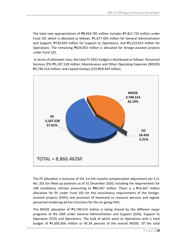The total new appropriations of  $\mathfrak{B}8,450.785$  million includes  $\mathfrak{B}7,821.732$  million under Fund 101 which is allocated as follows: ₱1,877.420 million for General Administration and Support; ₱720.693 million for Support to Operations; and ₱5,223.619 million for Operations. The remaining ₱629.053 million is allocated for foreign-assisted projects under Fund 102.

In terms of allotment class, the total FY 2021 budget is distributed as follows: Personnel Services (PS) ₱5,107.528 million; Maintenance and Other Operating Expenses (MOOE) ₱3,740.514 million; and Capital Outlays (CO) ₱18.420 million.



The PS allocation is inclusive of the 1st-5th tranche compensation adjustment per E.O. No. 201 for filled-up positions as of 31 December 2020, including the requirements for 108 mandatory retirees amounting to #80.047 million. There is a #16.667 million allocation for PS under Fund 102 for the consultancy requirements of the foreignassisted projects (FAPs) and provision of honoraria to resource persons and regular personnel rendering ad-hoc functions for the on-going FAPs.

The MOOE allocation of  $\mathbf{\hat{P}}3,740.514$  million is being shared by the different major programs of the DAR under General Administration and Support (GAS), Support to Operation (STO) and Operations. The bulk of which went to Operations with a total budget of ₱1,695.836 million or 45.34 percent of the overall MOOE. Of the total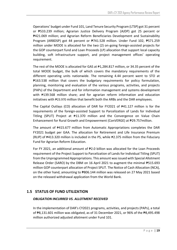Operations' budget under Fund 101, Land Tenure Security Program (LTSP) got 31 percent or ₱533.239 million; Agrarian Justice Delivery Program (AJDP) got 25 percent or ₱421.069 million; and Agrarian Reform Beneficiaries Development and Sustainability Program (ARBDSP) got 44 percent or ₱741.528 million. Under Fund 102, ₱571.259 million under MOOE is allocated for the two (2) on-going foreign-assisted projects for the GOP counterpart fund and Loan Proceeds (LP) allocation that support local capacity building, soft infrastructure support, and project management offices' operating requirement.

The rest of the MOOE is allocated for GAS at ₱1,284.817 million, or 34.35 percent of the total MOOE budget, the bulk of which covers the mandatory requirements of the different operating units nationwide. The remaining 4.44 percent went to STO at ₱163.538 million that covers the budgetary requirements for policy formulation, planning, monitoring and evaluation of the various programs, activities, and projects (PAPs) of the Department and for information management and systems development with ₱139.568 million share; and for agrarian reform information and education initiatives with ₱23.970 million that benefit both the ARBs and the DAR employees.

The Capital Outlays (CO) allocation of DAR for FY2021 of ₱41.127 million is for the requirements of the foreign-assisted Support to Parcelization of Lands for Individual Titling (SPLIT) Project at ₱11.370 million and the Convergence on Value Chain Enhancement for Rural Growth and Empowerment (ConVERGE) at ₱29.757million.

The amount of ₱415.677 million from Automatic Appropriations completes the DAR FY2021 budget per GAA. The allocation for Retirement and Life Insurance Premium (RLIP) of  $\neq$ 413.320 million is included in the PS, while  $\neq$ 2.375 million from the Fiduciary Fund for Agrarian Reform Education.

For FY 2021, an additional amount of ₱2.0 billion was allocated for the Loan Proceeds requirement of the Project Support to Parcelization of Lands for Individual Titling (SPLIT) from the Unprogrammed Appropriations. This amount was issued with Special Allotment Release Order (SARO) by the DBM on 16 April 2021 to augment the minimal ₱515.693 million GOP counterpart allocation of Project SPLIT. The Notice of Cash Allocation (NCA), on the other hand, amounting to ₱806.144 million was released on 27 May 2021 based on the released withdrawal application from the World Bank.

# **1.5 STATUS OF FUND UTILIZATION**

# *OBLIGATION INCURRED VS. ALLOTMENT RECEIVED*

In the implementation of DAR's CY2021 programs, activities, and projects (PAPs), a total of  $\mathsf{\mathsf{P}}8,131.601$  million was obligated, as of 31 December 2021, or 96% of the  $\mathsf{\mathsf{P}}8,495.498$ million authorized adjusted allotment under Fund 101.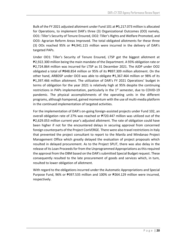Bulk of the FY 2021 adjusted allotment under Fund 101 at ₱5,217.073 million is allocated for Operations, to implement DAR's three (3) Organizational Outcomes (OO) namely, OO1: Tiller's Security of Tenure Ensured, OO2: Tiller's Rights and Welfare Promoted, and OO3: Agrarian Reform Areas Improved. The total obligated allotments for these three (3) OOs reached 95% or ₱4,941.115 million were incurred in the delivery of DAR's targeted PAPs.

Under OO1: Tiller's Security of Tenure Ensured, LTSP got the biggest allotment at ₱2,922.300 million being the main mandate of the Department. A 93% obligation rate or ₱2,724.864 million was incurred for LTSP as 31 December 2021. The AJDP under OO2 obligated a total of ₱848.854 million or 95% of its ₱897.309 million allotment. On the other hand, ARBDSP under OO3 was able to obligate ₱1,367.464 million or 98% of its ₱1,397.466 million allotment. The utilization of DAR's FY 2021 Operations' budget in terms of obligation for the year 2021 is relatively high at 95% despite the continuing restrictions in PAPs implementation, particularly in the  $1<sup>st</sup>$  semester, due to COVID-19 pandemic. The physical accomplishments of the operating units in the different programs, although hampered, gained momentum with the use of multi-media platform in the continued implementation of targeted activities.

For the implementation of DAR's on-going foreign-assisted projects under Fund 102, an overall obligation rate of 27% was reached or ₱720.447 million was utilized out of the ₱2,629.053 million current year's adjusted allotment. The rate of obligation could have been higher if not for the encountered delays in securing approval from concerned foreign counterparts of the Project ConVERGE. There were also travel restrictions in Italy that prevented the project consultant to report to the Manila and Mindanao Project Management Office which greatly delayed the evaluation of project proposals which resulted in delayed procurement. As to the Project SPLIT, there was also delay in the release of its Loan Proceeds for from the Unprogrammed Appropriations as this required the approval from the DBM based on the DAR's submitted Special Budget request. These consequently resulted to the late procurement of goods and services which, in turn, resulted to lower obligation of allotment.

With regard to the obligations incurred under the Automatic Appropriations and Special Purpose Fund, 96% or ₱397.535 million and 100% or ₱264.129 million were incurred, respectively.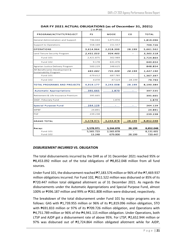|                                                                                                                                                                                                                                                                                                                                                                                                                                                                                                                                                                                                                      | in ₱ M)             |                      |        |                      |
|----------------------------------------------------------------------------------------------------------------------------------------------------------------------------------------------------------------------------------------------------------------------------------------------------------------------------------------------------------------------------------------------------------------------------------------------------------------------------------------------------------------------------------------------------------------------------------------------------------------------|---------------------|----------------------|--------|----------------------|
| PROGRAM/ACTIVITY/PROJECT                                                                                                                                                                                                                                                                                                                                                                                                                                                                                                                                                                                             | ΡS                  | <b>MOOE</b>          | co     | TOTAL                |
| General Administration and Support                                                                                                                                                                                                                                                                                                                                                                                                                                                                                                                                                                                   | 746.044             | 1,073.052            |        | 1,819.096            |
| Support to Operations                                                                                                                                                                                                                                                                                                                                                                                                                                                                                                                                                                                                | 558.169             | 151.557              |        | 709.726              |
| <b>OPERATIONS</b>                                                                                                                                                                                                                                                                                                                                                                                                                                                                                                                                                                                                    | 3,614.964           | 2,018.399            | 28.199 | 5,661.562            |
| Land Tenure Security Program                                                                                                                                                                                                                                                                                                                                                                                                                                                                                                                                                                                         | 2,431.053           | 934.465              |        | 3,365.518            |
| <b>Fund 101</b>                                                                                                                                                                                                                                                                                                                                                                                                                                                                                                                                                                                                      | 2,421.875           | 302.989              |        | 2,724.864            |
| <b>Fund 102</b>                                                                                                                                                                                                                                                                                                                                                                                                                                                                                                                                                                                                      | 9.178               | 631.476              |        | 640.654              |
| Agrarian Justice Delivery Program                                                                                                                                                                                                                                                                                                                                                                                                                                                                                                                                                                                    | 500.229             | 348.625              |        | 848.854              |
| AR Beneficiaries Development &<br><b>Sustainability Program</b>                                                                                                                                                                                                                                                                                                                                                                                                                                                                                                                                                      | 683.682             | 735.309              | 28.199 | <i>1,447.190</i>     |
| <b>Fund 101</b>                                                                                                                                                                                                                                                                                                                                                                                                                                                                                                                                                                                                      | 679.612             | 687.785              |        | 1,367.397            |
| <b>Fund 102</b>                                                                                                                                                                                                                                                                                                                                                                                                                                                                                                                                                                                                      | 4.070               | 47.524               | 28.199 | 79.793               |
| <b>TOTAL PROGRAMS AND PROJECTS</b>                                                                                                                                                                                                                                                                                                                                                                                                                                                                                                                                                                                   | 4,919.177           | 3,243.008            | 28.199 | 8,190.384            |
| <b>Automatic Appropriations</b>                                                                                                                                                                                                                                                                                                                                                                                                                                                                                                                                                                                      | 395.665             | 1.870                | ÷      | 397.535              |
| Retirement & Life Insurance Premium                                                                                                                                                                                                                                                                                                                                                                                                                                                                                                                                                                                  | 395.665             |                      |        | 395.665              |
| SAGF- Fiduciary Fund                                                                                                                                                                                                                                                                                                                                                                                                                                                                                                                                                                                                 |                     | 1.870                |        | 1.870                |
| <b>Special Purpose Fund</b>                                                                                                                                                                                                                                                                                                                                                                                                                                                                                                                                                                                          | 264.129             |                      |        | 264.129              |
| <b>MPBF</b>                                                                                                                                                                                                                                                                                                                                                                                                                                                                                                                                                                                                          | 24.891              |                      |        | 24.891               |
| PGF                                                                                                                                                                                                                                                                                                                                                                                                                                                                                                                                                                                                                  | 239.238             |                      |        | 239.238              |
| <b>GRAND TOTAL</b>                                                                                                                                                                                                                                                                                                                                                                                                                                                                                                                                                                                                   | 5,578.971           | 3,244.878            | 28.199 | 8,852.048            |
|                                                                                                                                                                                                                                                                                                                                                                                                                                                                                                                                                                                                                      |                     |                      |        |                      |
|                                                                                                                                                                                                                                                                                                                                                                                                                                                                                                                                                                                                                      |                     |                      |        |                      |
| Recap:                                                                                                                                                                                                                                                                                                                                                                                                                                                                                                                                                                                                               | 5,578.971           | 3,244.878            | 28.199 | 8,852.048            |
| Fund 101<br><b>Fund 102</b>                                                                                                                                                                                                                                                                                                                                                                                                                                                                                                                                                                                          | 5,565.723<br>13.248 | 2,565.878<br>679.000 | 28.199 | 8,131.601<br>720.447 |
| DISBURSEMENT INCURRED VS. OBLIGATION<br>The total disbursements incurred by the DAR as of 31 December 2021 reached 95% or<br>₱8,453.092 million out of the total obligations of ₱8,852.048 million from all fund<br>sources.                                                                                                                                                                                                                                                                                                                                                                                         |                     |                      |        |                      |
| Under Fund 101, the disbursement reached ₱7,183.576 million or 96% of the ₱7,469.937<br>million obligations incurred. For Fund 102, $\frac{1}{2}611.522$ million was disbursed or 85% of its<br>₱720.447 million total obligated allotment as of 31 December 2021. As regards the<br>disbursements under the Automatic Appropriations and Special Purpose Fund, almost<br>100% or ₱396.187 million and 99% or ₱261.808 million were disbursed, respectively.                                                                                                                                                         |                     |                      |        |                      |
| The breakdown of the total disbursement under Fund 101 by major programs are as<br>follows: GAS with $\mathfrak{p}1,739.955$ million or 96% of its $\mathfrak{p}1,819.096$ million obligation, STO<br>with $\blacktriangleright$ 691.833 million or 97% of its $\blacktriangleright$ 709.726 million obligation, and Operations with<br>₱4,751.789 million or 96% of the ₱4,941.115 million obligation. Under Operations, both<br>LTSP and AJDP got a disbursement rate of above 95%. For LTSP, ₱2,652.944 million or<br>97% was disbursed out of $\frac{1}{2}$ ,724.864 million obligated allotment while for AJDP, |                     |                      |        | Page<br>21           |

**DAR FY 2021 ACTUAL OBLIGATIONS (as of December 31, 2021)**

# *DISBURSEMENT INCURRED* **VS. OBLIGATION**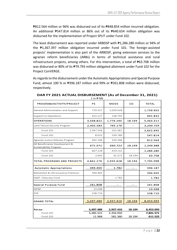₱812.564 million or 96% was disbursed out of its ₱848.854 million incurred obligation. An additional ₱547.814 million or 86% out of its ₱640.654 million obligation was disbursed for the implementation of Project SPLIT under Fund 102.

The least disbursement was reported under ARBDSP with ₱1,286.280 million or 94% of the ₱1,367.397 million obligation incurred under Fund 101. The foreign-assisted projects' implementation is also part of the ARBDSP, giving extension services to the agrarian reform beneficiaries (ARBs) in terms of technical assistance and rural infrastructure projects, among others. For this intervention, a total of #63.708 million was disbursed or 80% of its ₱79.793 million obligated allotment under Fund 102 for the Project ConVERGE.

As regards to the disbursement under the Automatic Appropriations and Special Purpose Fund, almost 100 % or ₱396.187 million and 99% or ₱261.808 million were disbursed, respectively.

|                                                          | 111 F VJ  |             |           |              |
|----------------------------------------------------------|-----------|-------------|-----------|--------------|
| PROGRAM/ACTIVITY/PROJECT                                 | <b>PS</b> | <b>MOOE</b> | <b>CO</b> | <b>TOTAL</b> |
| General Administration and Support                       | 719.327   | 1,020.628   |           | 1,739.955    |
| Support to Operations                                    | 553.127   | 138.705     |           | 691.832      |
| <b>OPERATIONS</b>                                        | 3,568.822 | 1,776.295   | 18.194    | 5,363.311    |
| Land Tenure Security Program                             | 2,405.583 | 795.176     |           | 3,200.759    |
| <b>Fund 101</b>                                          | 2,397.558 | 255.387     |           | 2,652.945    |
| <b>Fund 102</b>                                          | 8.025     | 539.789     |           | 547.814      |
| Agrarian Justice Delivery Program                        | 492.168   | 320.396     |           | 812.564      |
| AR Beneficiaries Development &<br>Sustainability Program | 671.071   | 660.723     | 18.194    | 1,349.988    |
| <b>Fund 101</b>                                          | 667.128   | 619.152     |           | 1,286.280    |
| <b>Fund 102</b>                                          | 3.943     | 41.571      | 18.194    | 63.708       |
| TOTAL PROGRAMS AND PROJECTS                              | 4,841.276 | 2,935.628   | 18.194    | 7,795.098    |
| <b>Automatic Appropriations</b>                          | 394.405   | 1.782       |           | 396.187      |
| Retirement & Life Insurance Premium                      | 394.405   |             |           | 394.405      |
| SAGF- Fiduciary Fund                                     |           | 1.782       |           | 1.782        |
| Special Purpose Fund                                     | 261.808   |             |           | 261.808      |
| <b>MPBF</b>                                              | 23.098    |             |           | 23.098       |
| PGF                                                      | 238.710   |             |           | 238.710      |
|                                                          |           |             |           |              |
| <b>GRAND TOTAL</b>                                       | 5,497.489 | 2,937.410   | 18.194    | 8,453.093    |
| Recap:                                                   | 5,497.489 | 2,937.410   | 18.194    | 8,453.093    |
| <b>Fund 101</b>                                          | 5,485.521 | 2,356.050   |           | 7,841.571    |
| <b>Fund 102</b>                                          | 11.968    | 581.360     | 18.194    | 611.522      |

**DAR FY 2021 ACTUAL DISBURSEMENT (As of December 31, 2021)**  $($  in  $A$  M)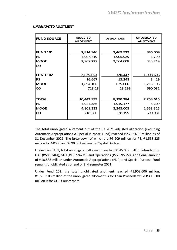| <b>FUND SOURCE</b> | <b>ADJUSTED</b><br><b>ALLOTMENT</b> | <b>OBLIGATIONS</b> | <b>UNOBLIGATED</b><br><b>ALLOTMENT</b> |
|--------------------|-------------------------------------|--------------------|----------------------------------------|
|                    |                                     |                    |                                        |
| <b>FUND 101</b>    | 7,814.946                           | 7,469.937          | 345.009                                |
| PS                 | 4,907.719                           | 4,905.929          | 1.790                                  |
| <b>MOOE</b>        | 2,907.227                           | 2,564.008          | 343.219                                |
| CO                 |                                     |                    |                                        |
|                    |                                     |                    |                                        |
| <b>FUND 102</b>    | 2,629.053                           | 720.447            | 1,908.606                              |
| PS                 | 16.667                              | 13.248             | 3.419                                  |
| <b>MOOE</b>        | 1,894.106                           | 679.000            | 1,215.106                              |
| CO                 | 718.28                              | 28.199             | 690.081                                |
|                    |                                     |                    |                                        |
| <b>TOTAL</b>       | 10,443.999                          | 8,190.384          | 2,253.615                              |
| PS                 | 4,924.386                           | 4,919.177          | 5.209                                  |
| <b>MOOE</b>        | 4,801.333                           | 3,243.008          | 1,558.325                              |
| CO                 | 718.280                             | 28.199             | 690.081                                |
|                    |                                     |                    |                                        |

### *UNOBLIGATED* **ALLOTMENT**

The total unobligated allotment out of the FY 2021 adjusted allocation (excluding Automatic Appropriations & Special Purpose Fund) reached ₱2,253.615 million as of 31 December 2021. The breakdown of which are ₱5.209 million for PS, ₱1,558.325 million for MOOE and ₱690.081 million for Capital Outlays.

Under Fund 101, total unobligated allotment reached ₱345.009 million intended for GAS (₱58.324M), STO (₱10.7247M), and Operations (₱275.958M). Additional amount of ₱18.888 million under Automatic Appropriations (RLIP) and Special Purpose Fund remains unobligated as of end of 2nd semester 2021.

Under Fund 102, the total unobligated allotment reached ₱1,908.606 million, ₱1,605.106 million of the unobligated allotment is for Loan Proceeds while ₱303.500 million is for GOP Counterpart.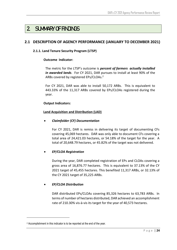# **2. SUMMARY OF FINDINGS**

# **2.1 DESCRIPTION OF AGENCY PERFORMANCE (JANUARY TO DECEMBER 2021)**

### **2.1.1. Land Tenure Security Program (LTSP)**

### **Outcome Indicator:**

The metric for the LTSP's outcome is *percent of farmers actually installed in awarded lands*. For CY 2021, DAR pursues to install at least 90% of the ARBs covered by registered EPs/CLOAs.<sup>2</sup>

For CY 2021, DAR was able to install 50,172 ARBs. This is equivalent to 443.33% of the 11,317 ARBs covered by EPs/CLOAs registered during the year.

### **Output Indicators:**

### **Land Acquisition and Distribution (LAD)**

### • *Claimfolder (CF) Documentation*

For CY 2021, DAR is remiss in delivering its target of documenting CFs covering 45,069 hectares. DAR was only able to document CFs covering a total area of 24,421.03 hectares, or 54.18% of the target for the year. A total of 20,648.79 hectares, or 45.82% of the target was not delivered.

# • *EP/CLOA Registration*

During the year, DAR completed registration of EPs and CLOAs covering a gross area of 16,876.77 hectares. This is equivalent to 37.13% of the CY 2021 target of 45,455 hectares. This benefited 11,317 ARBs, or 32.13% of the CY 2021 target of 35,225 ARBs.

# • *EP/CLOA Distribution*

DAR distributed EPs/CLOAs covering 85,326 hectares to 63,783 ARBs. In terms of number of hectares distributed, DAR achieved an accomplishment rate of 210.30% vis-à-vis its target for the year of 40,573 hectares.

<sup>2</sup> Accomplishment in this indicator is to be reported at the end of the year.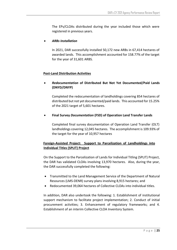The EPs/CLOAs distributed during the year included those which were registered in previous years.

### • *ARBs Installation*

In 2021, DAR successfully installed 50,172 new ARBs in 67,414 hectares of awarded lands. This accomplishment accounted for 158.77% of the target for the year of 31,601 ARBS.

### **Post-Land Distribution Activities**

### • *Redocumentation* **of Distributed But Not Yet Documented/Paid Lands (DNYD/DNYP)**

Completed the redocumentation of landholdings covering 854 hectares of distributed but not yet documented/paid lands. This accounted for 15.25% of the 2021 target of 5,601 hectares.

### • **Final Survey** *Documentation* **(FSD) of Operation Land Transfer Lands**

Completed final survey documentation of Operation Land Transfer (OLT) landholdings covering 12,045 hectares. The accomplishment is 109.93% of the target for the year of 10,957 hectares

# **Foreign-Assisted Project: Support to Parcelization of Landholdings into Individual Titles (SPLIT) Project**

On the Support to the Parcelization of Lands for Individual Titling (SPLIT) Project, the DAR has validated CLOAs involving 13,970 hectares. Also, during the year, the DAR successfully completed the following:

- Transmitted to the Land Management Service of the Department of Natural Resources (LMS-DENR) survey plans involving 8,915 hectares; and
- Redocumented 39,064 hectares of Collective CLOAs into individual titles.

In addition, DAR also undertook the following: 1. Establishment of institutional support mechanism to facilitate project implementation; 2. Conduct of initial procurement activities; 3. Enhancement of regulatory frameworks; and 4. Establishment of an interim Collective CLOA Inventory System.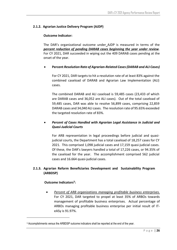# **2.1.2. Agrarian Justice Delivery Program (AJDP)**

### **Outcome Indicator:**

The DAR's organizational outcome under AJDP is measured in terms of the *percent reduction of pending DARAB cases beginning the year under review*. For CY 2021, DAR succeeded in wiping out the 409 DARAB cases pending at the onset of the year.

# • **Percent** *Resolution Rate of Agrarian-Related Cases (DARAB and ALI Cases)*

For CY 2021, DAR targets to hit a resolution rate of at least 83% against the combined caseload of DARAB and Agrarian Law Implementation (ALI) cases.

The combined DARAB and ALI caseload is 59,485 cases (23,433 of which are DARAB cases and 36,052 are ALI cases). Out of the total caseload of 59,485 cases, DAR was able to resolve 56,899 cases, comprising 22,859 DARAB cases and 34,040 ALI cases. The resolution rate of 95.65% exceeded the targeted resolution rate of 83%.

# • *Percent of Cases Handled with Agrarian Legal Assistance in Judicial and Quasi-Judicial Courts*

For ARB representation in legal proceedings before judicial and quasijudicial courts, the Department has a total caseload of 18,257 cases for CY 2021. This comprised 1,098 judicial cases and 17,159 quasi-judicial cases. Of these, the DAR's lawyers handled a total of 17,226 cases, or 94.35% of the caseload for the year. The accomplishment comprised 562 judicial cases and 16.664 quasi-judicial cases.

# **2.1.3. Agrarian Reform Beneficiaries Development and Sustainability Program (ARBDSP)**

# **Outcome Indicators<sup>3</sup> :**

• *Percent of ARB organizations managing profitable business enterprises.* For CY 2021, DAR targeted to propel at least 35% of ARBOs towards management of profitable business enterprises. Actual percentage of ARBOs managing profitable business enterprise per initial result of ITeASy is 91.97%.

<sup>&</sup>lt;sup>3</sup> Accomplishments versus the ARBDSP outcome indicators shall be reported at the end of the year.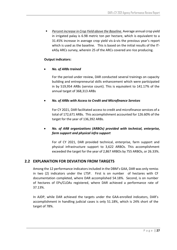▪ *Percent increase in Crop Yield above the Baseline.* Average annual crop yield in irrigated palay is 6.98 metric ton per hectare, which is equivalent to a 31.45% increase in average crop yield vis-à-vis the previous year's report which is used as the baseline. This is based on the initial results of the ITeASy ARCs survey, wherein 25 of the ARCs covered are rice producing.

# **Output indicators:**

• *No. of ARBs trained*

For the period under review, DAR conducted several trainings on capacity building and entrepreneurial skills enhancement which were participated in by 519,954 ARBs (service count). This is equivalent to 141.17% of the annual target of 368,313 ARBs

# • *No. of ARBs with Access to Credit and Microfinance Services*

For CY 2021, DAR facilitated access to credit and microfinance services of a total of 172,671 ARBs. This accomplishment accounted for 126.60% of the target for the year of 136,392 ARBs.

# • *No. of ARB organizations (ARBOs) provided with technical, enterprise, farm support and physical infra support*

For of CY 2021, DAR provided technical, enterprise, farm support and physical infrastructure support to 3,622 ARBOs. This accomplishment exceeded the target for the year of 2,867 ARBOs by 755 ARBOs, or 26.33%.

# **2.2 EXPLANATION FOR DEVIATION FROM TARGETS**

Among the 12 performance indicators included in the DBM's GAA, DAR was only remiss in two (2) indicators under the LTSP. First is on number of hectares with CF documentation completed, where DAR accomplished 54.18%. Second, is on number of hectares of EPs/CLOAs registered, where DAR achieved a performance rate of 37.13%.

In AJDP, while DAR achieved the targets under the GAA-enrolled indicators, DAR's accomplishment in handling judicial cases is only 51.18%, which is 24% short of the target of 78%.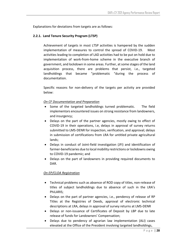Explanations for deviations from targets are as follows:

# **2.2.1. Land Tenure Security Program (LTSP)**

Achievement of targets in most LTSP activities is hampered by the sudden implementation of measures to control the spread of COVID-19. Most activities leading to completion of LAD activities had to be put on hold due to implementation of work-from-home scheme in the executive branch of government, and lockdown in some areas. Further, at some stages of the land acquisition process, there are problems that persist, i.e., targeted landholdings that became "problematic "during the process of documentation.

Specific reasons for non-delivery of the targets per activity are provided below:

# *On CF Documentation and Preparation*

- Some of the targeted landholdings turned problematic. The field implementors encountered issues on strong resistance from landowners, and insurgency;
- Delays on the part of the partner agencies, mostly owing to effect of COVID-19 in their operations, i.e, delays in approval of survey returns submitted to LMS-DENR for inspection, verification, and approval; delays in submission of certifications from LRA for untitled private agricultural lands;
- Delays in conduct of Joint-field investigation (JFI) and identification of farmer-beneficiaries due to local mobility restrictions or lockdowns owing to COVID-19 pandemic; and
- Delays on the part of landowners in providing required documents to DAR.

# *On EP/CLOA Registration*

- Technical problems such as absence of ROD copy of titles, non-release of titles of subject landholdings due to absence of such in the LRA's PhiLARIS;
- Delays on the part of partner agencies, i.e., pendency of release of RP Titles at the Registries of Deeds, approval of electronic technical descriptions at LRA, delays in approval of survey returns at LMS-DENR
- Delays or non-issuance of Certificates of Deposit by LBP due to late release of funds for Landowners' Compensation;
- Delays due to pendency of agrarian law implementation (ALI) cases elevated at the Office of the President involving targeted landholdings,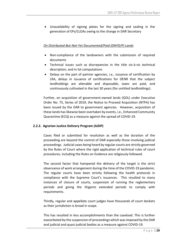• Unavailability of signing plates for the signing and sealing in the generation of EPs/CLOAs owing to the change in DAR Secretary

### *On Distributed-But-Not-Yet Documented/Paid (DNYD/P) Lands*

- Non-compliance of the landowners with the submission of required documents
- Technical issues such as discrepancies in the title vis-à-vis technical description, and in lot computations
- Delays on the part of partner agencies, i.e., issuance of certification by LRA, delays in issuance of certifications for DENR that the subject landholdings are alienable and disposable, taxes are paid, and continuously cultivated in the last 30 years (for untitled landholdings).

Further, on acquisition of government-owned lands (GOL) under Executive Order No. 75, Series of 2019, the Notice to Proceed Acquisition (NTPA) has been issued by the DAR to government agencies. However, acquisition of these lands has likewise been overtaken by events, i.e., Enhanced Community Quarantine (ECQ) as a measure against the spread of COVID-19.

### **2.2.2. Agrarian Justice Delivery Program (AJDP)**

Cases filed or submitted for resolution as well as the duration of the proceeding are beyond the control of DAR especially those involving judicial proceedings. Judicial cases being heard by regular courts are strictly governed by the Rules of Court where the rigid application of technical rules of court procedures, including the Rules on Evidence are religiously followed.

The second factor that hampered the delivery of the target is the strict observance of work arrangement during the time of the COVID-19 pandemic. The regular courts have been strictly following the health protocols in compliance with the Supreme Court's issuances. This resulted to many instances of closure of courts, suspension of running the reglementary periods and giving the litigants extended periods to comply with requirements.

Thirdly, regular and appellate court judges have thousands of court dockets as their jurisdiction is broad in scope.

This has resulted in less accomplishments than the caseload. This is further exacerbated by the suspension of proceedings which was imposed by the DAR and judicial and quasi-judicial bodies as a measure against COVID-19.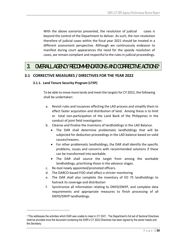With the above scenarios presented, the resolution of judicial cases is beyond the control of the Department to deliver. As such, the non-resolution therefore of judicial cases within the fiscal year 2021 should be treated in a different assessment perspective. Although we continuously endeavor to manifest during court appearances the need for the speedy resolution of cases, we remain compliant and respectful to the rules in judicial proceedings.

# **3. OVERALL AGENCY RECOMMENDATIONS AND CORRECTIVE ACTIONS<sup>4</sup>**

# **3.1 CORRECTIVE MEASURES / DIRECTIVES FOR THE YEAR 2022**

### **3.1.1. Land Tenure Security Program (LTSP)**

To be able to move more lands and meet the targetsfor CY 2022, the following shall be undertaken:

- a. Revisit rules and issuances affecting the LAD process and simplify them to effect faster acquisition and distribution of land. Among these is to limit or total non-participation of the Land Bank of the Philippines in the conduct of joint field investigation.
- b. Cleanse and finalize the inventory of landholdings in the LAD Balance.
	- The DAR shall determine problematic landholdings that will be subjected for deduction proceedings in the LAD balance based on valid causes/reasons.
	- For other problematic landholdings, the DAR shall identify the specific problems, issues and concerns with recommended solutions if these can be transformed into workable.
	- The DAR shall source the target from among the workable landholdings, prioritizing those in the advance stages.
- c. Re-tool newly appointed/promoted officers.
- d. The DARCO-based FOO shall effect a stricter monitoring
- e. The DAR shall also complete the inventory of EO 75 landholdings to fastrack its coverage and distribution
- f. Synchronize all information relating to DNYD/DNYP, and complete data requirements and appropriate measures to finish processing of all DNYD/DNYP landholdings.

<sup>4</sup> This addresses the activities which DAR was unable to meet in CY 2021. The Department's full set of Sectoral Directives shall be provided once the document containing the DAR's CY 2022 Directives has been signed by the sector heads and the Secretary.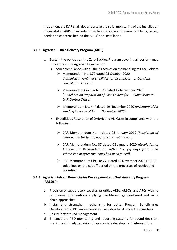In addition, the DAR shall also undertake the strict monitoring of the installation of uninstalled ARBs to include pro-active stance in addressing problems, issues, needs and concerns behind the ARBs' non-installation.

# **3.1.2. Agrarian Justice Delivery Program (AJDP)**

- a. Sustain the policies on the Zero Backlog Program covering all performance indicators in the Agrarian Legal Sector.
	- Strict compliance with all the directives on the handling of Case Folders
		- ➢ Memorandum No. 370 dated 05 October 2020 *(Administrative/Other Liabilities for Incomplete or Deficient Cancellation Folders)*
		- ➢ Memorandum Circular No. 26 dated 17 November 2020 *(Guidelines on Preparation of Case Folders for Submission to DAR Central Office)*
		- ➢ Memorandum No. 444 dated 19 November 2020 *(Inventory of All Pending Cases as of 18 November 2020)*
	- Expeditious Resolution of DARAB and ALI Cases in compliance with the following:
		- ➢ DAR Memorandum No. 4 dated 03 January 2019 *(Resolution of cases within thirty [30] days from its submission)*
		- ➢ DAR Memorandum No. 37 dated 08 January 2020 *(Resolution of Motions for Reconsideration within five [5] days from their submission or after the issues had been joined)*
		- ➢ DAR Memorandum Circular 27, Dated 19 November 2020 (DARAB guidelines on the cut-off period on the processes of receipt and docketing

# **3.1.3. Agrarian Reform Beneficiaries Development and Sustainability Program (ARBDSP)**

- a. Provision of support services shall prioritize ARBs, ARBOs, and ARCs with no or minimal interventions applying need-based, gender-based and value chain approaches
- b. Install and strengthen mechanisms for better Program Beneficiaries Development (PBD) implementation including local project committees
- c. Ensure better fund management
- d. Enhance the PBD monitoring and reporting systems for sound decisionmaking and timely provision of appropriate development interventions.